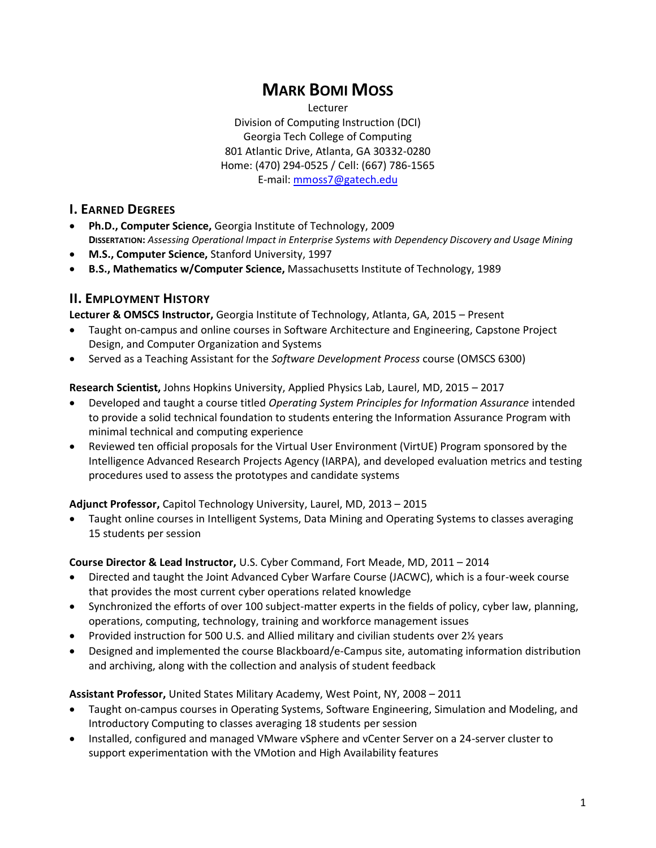# **MARK BOMI MOSS**

Lecturer Division of Computing Instruction (DCI) Georgia Tech College of Computing 801 Atlantic Drive, Atlanta, GA 30332-0280 Home: (470) 294-0525 / Cell: (667) 786-1565 E-mail: [mmoss7@gatech.edu](mailto:mbmoss@alum.mit.edu)

#### **I. EARNED DEGREES**

- **Ph.D., Computer Science,** Georgia Institute of Technology, 2009 **DISSERTATION:** *Assessing Operational Impact in Enterprise Systems with Dependency Discovery and Usage Mining*
- **M.S., Computer Science,** Stanford University, 1997
- **B.S., Mathematics w/Computer Science,** Massachusetts Institute of Technology, 1989

#### **II. EMPLOYMENT HISTORY**

**Lecturer & OMSCS Instructor,** Georgia Institute of Technology, Atlanta, GA, 2015 – Present

- Taught on-campus and online courses in Software Architecture and Engineering, Capstone Project Design, and Computer Organization and Systems
- Served as a Teaching Assistant for the *Software Development Process* course (OMSCS 6300)

**Research Scientist,** Johns Hopkins University, Applied Physics Lab, Laurel, MD, 2015 – 2017

- Developed and taught a course titled *Operating System Principles for Information Assurance* intended to provide a solid technical foundation to students entering the Information Assurance Program with minimal technical and computing experience
- Reviewed ten official proposals for the Virtual User Environment (VirtUE) Program sponsored by the Intelligence Advanced Research Projects Agency (IARPA), and developed evaluation metrics and testing procedures used to assess the prototypes and candidate systems

**Adjunct Professor,** Capitol Technology University, Laurel, MD, 2013 – 2015

• Taught online courses in Intelligent Systems, Data Mining and Operating Systems to classes averaging 15 students per session

#### **Course Director & Lead Instructor,** U.S. Cyber Command, Fort Meade, MD, 2011 – 2014

- Directed and taught the Joint Advanced Cyber Warfare Course (JACWC), which is a four-week course that provides the most current cyber operations related knowledge
- Synchronized the efforts of over 100 subject-matter experts in the fields of policy, cyber law, planning, operations, computing, technology, training and workforce management issues
- Provided instruction for 500 U.S. and Allied military and civilian students over 2½ years
- Designed and implemented the course Blackboard/e-Campus site, automating information distribution and archiving, along with the collection and analysis of student feedback

**Assistant Professor,** United States Military Academy, West Point, NY, 2008 – 2011

- Taught on-campus courses in Operating Systems, Software Engineering, Simulation and Modeling, and Introductory Computing to classes averaging 18 students per session
- Installed, configured and managed VMware vSphere and vCenter Server on a 24-server cluster to support experimentation with the VMotion and High Availability features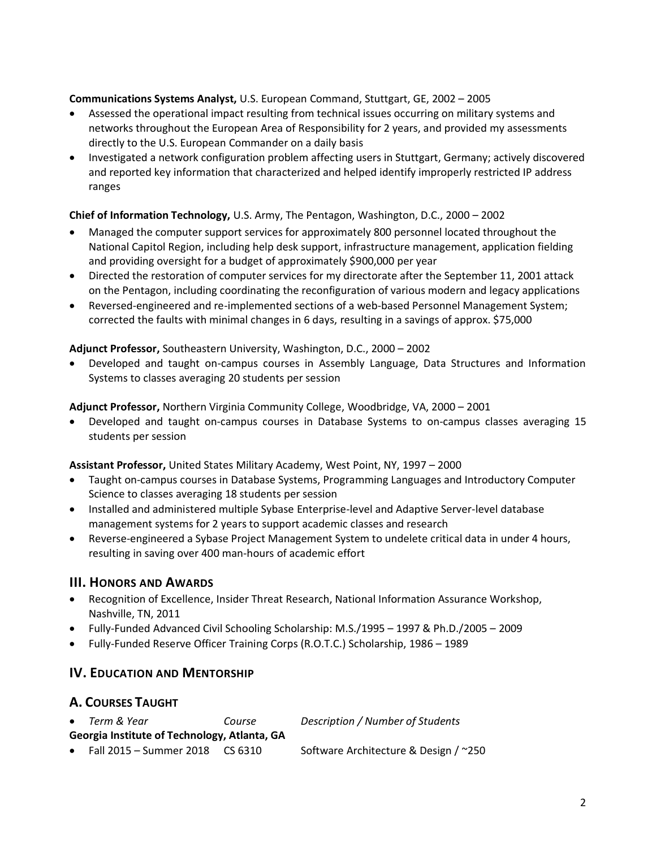#### **Communications Systems Analyst,** U.S. European Command, Stuttgart, GE, 2002 – 2005

- Assessed the operational impact resulting from technical issues occurring on military systems and networks throughout the European Area of Responsibility for 2 years, and provided my assessments directly to the U.S. European Commander on a daily basis
- Investigated a network configuration problem affecting users in Stuttgart, Germany; actively discovered and reported key information that characterized and helped identify improperly restricted IP address ranges

#### **Chief of Information Technology,** U.S. Army, The Pentagon, Washington, D.C., 2000 – 2002

- Managed the computer support services for approximately 800 personnel located throughout the National Capitol Region, including help desk support, infrastructure management, application fielding and providing oversight for a budget of approximately \$900,000 per year
- Directed the restoration of computer services for my directorate after the September 11, 2001 attack on the Pentagon, including coordinating the reconfiguration of various modern and legacy applications
- Reversed-engineered and re-implemented sections of a web-based Personnel Management System; corrected the faults with minimal changes in 6 days, resulting in a savings of approx. \$75,000

#### **Adjunct Professor,** Southeastern University, Washington, D.C., 2000 – 2002

• Developed and taught on-campus courses in Assembly Language, Data Structures and Information Systems to classes averaging 20 students per session

**Adjunct Professor,** Northern Virginia Community College, Woodbridge, VA, 2000 – 2001

• Developed and taught on-campus courses in Database Systems to on-campus classes averaging 15 students per session

**Assistant Professor,** United States Military Academy, West Point, NY, 1997 – 2000

- Taught on-campus courses in Database Systems, Programming Languages and Introductory Computer Science to classes averaging 18 students per session
- Installed and administered multiple Sybase Enterprise-level and Adaptive Server-level database management systems for 2 years to support academic classes and research
- Reverse-engineered a Sybase Project Management System to undelete critical data in under 4 hours, resulting in saving over 400 man-hours of academic effort

### **III.** HONORS AND AWARDS

- Recognition of Excellence, Insider Threat Research, National Information Assurance Workshop, Nashville, TN, 2011
- Fully-Funded Advanced Civil Schooling Scholarship: M.S./1995 1997 & Ph.D./2005 2009
- Fully-Funded Reserve Officer Training Corps (R.O.T.C.) Scholarship, 1986 1989

### **IV. EDUCATION AND MENTORSHIP**

### **A. COURSES TAUGHT**

|                                              | • Term & Year                         | Course | Description / Number of Students      |  |  |
|----------------------------------------------|---------------------------------------|--------|---------------------------------------|--|--|
| Georgia Institute of Technology, Atlanta, GA |                                       |        |                                       |  |  |
|                                              | • Fall $2015 -$ Summer 2018 $CS 6310$ |        | Software Architecture & Design / ~250 |  |  |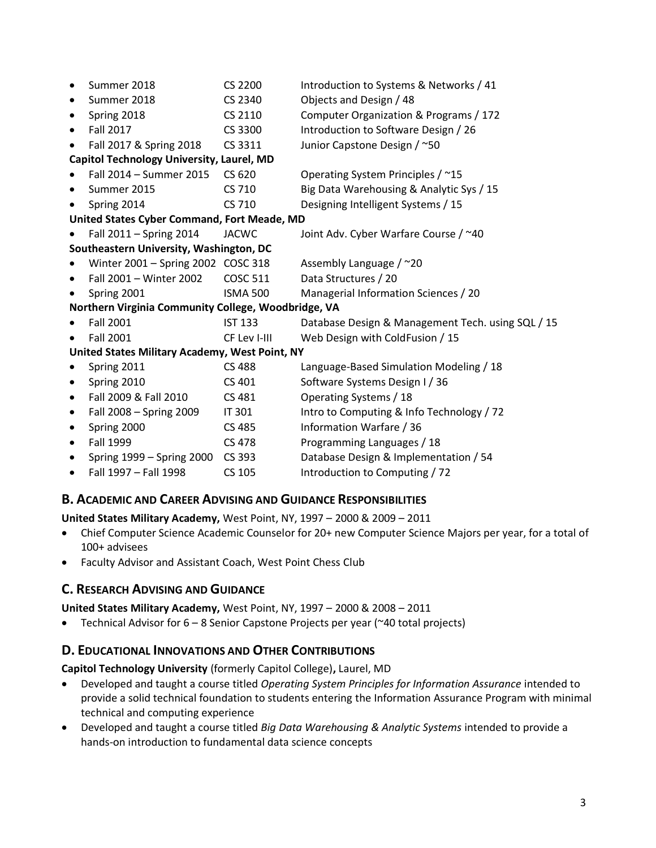| $\bullet$                                           | Summer 2018                        | CS 2200         | Introduction to Systems & Networks / 41           |  |  |
|-----------------------------------------------------|------------------------------------|-----------------|---------------------------------------------------|--|--|
|                                                     | Summer 2018                        | CS 2340         | Objects and Design / 48                           |  |  |
|                                                     | Spring 2018                        | CS 2110         | Computer Organization & Programs / 172            |  |  |
| ٠                                                   | <b>Fall 2017</b>                   | CS 3300         | Introduction to Software Design / 26              |  |  |
| ٠                                                   | Fall 2017 & Spring 2018            | CS 3311         | Junior Capstone Design / ~50                      |  |  |
| Capitol Technology University, Laurel, MD           |                                    |                 |                                                   |  |  |
|                                                     | Fall 2014 - Summer 2015            | CS 620          | Operating System Principles / ~15                 |  |  |
| $\bullet$                                           | Summer 2015                        | CS 710          | Big Data Warehousing & Analytic Sys / 15          |  |  |
|                                                     | Spring 2014                        | CS 710          | Designing Intelligent Systems / 15                |  |  |
| United States Cyber Command, Fort Meade, MD         |                                    |                 |                                                   |  |  |
|                                                     | Fall 2011 - Spring 2014            | <b>JACWC</b>    | Joint Adv. Cyber Warfare Course / ~40             |  |  |
| Southeastern University, Washington, DC             |                                    |                 |                                                   |  |  |
|                                                     | Winter 2001 - Spring 2002 COSC 318 |                 | Assembly Language / ~20                           |  |  |
|                                                     | Fall 2001 - Winter 2002            | <b>COSC 511</b> | Data Structures / 20                              |  |  |
|                                                     | Spring 2001                        | <b>ISMA 500</b> | Managerial Information Sciences / 20              |  |  |
| Northern Virginia Community College, Woodbridge, VA |                                    |                 |                                                   |  |  |
|                                                     | <b>Fall 2001</b>                   | <b>IST 133</b>  | Database Design & Management Tech. using SQL / 15 |  |  |
| $\bullet$                                           | <b>Fall 2001</b>                   | CF Lev I-III    | Web Design with ColdFusion / 15                   |  |  |
| United States Military Academy, West Point, NY      |                                    |                 |                                                   |  |  |
|                                                     | Spring 2011                        | <b>CS 488</b>   | Language-Based Simulation Modeling / 18           |  |  |
| $\bullet$                                           | Spring 2010                        | CS 401          | Software Systems Design I / 36                    |  |  |
| $\bullet$                                           | Fall 2009 & Fall 2010              | CS 481          | Operating Systems / 18                            |  |  |
| $\bullet$                                           | Fall 2008 - Spring 2009            | IT 301          | Intro to Computing & Info Technology / 72         |  |  |
| ٠                                                   | Spring 2000                        | CS 485          | Information Warfare / 36                          |  |  |
| ٠                                                   | Fall 1999                          | <b>CS 478</b>   | Programming Languages / 18                        |  |  |
| ٠                                                   | Spring 1999 - Spring 2000          | CS 393          | Database Design & Implementation / 54             |  |  |
|                                                     | Fall 1997 - Fall 1998              | CS 105          | Introduction to Computing / 72                    |  |  |

### **B. ACADEMIC AND CAREER ADVISING AND GUIDANCE RESPONSIBILITIES**

**United States Military Academy,** West Point, NY, 1997 – 2000 & 2009 – 2011

- Chief Computer Science Academic Counselor for 20+ new Computer Science Majors per year, for a total of 100+ advisees
- Faculty Advisor and Assistant Coach, West Point Chess Club

### **C. RESEARCH ADVISING AND GUIDANCE**

#### **United States Military Academy,** West Point, NY, 1997 – 2000 & 2008 – 2011

• Technical Advisor for 6 – 8 Senior Capstone Projects per year (~40 total projects)

### **D. EDUCATIONAL INNOVATIONS AND OTHER CONTRIBUTIONS**

**Capitol Technology University** (formerly Capitol College)**,** Laurel, MD

- Developed and taught a course titled *Operating System Principles for Information Assurance* intended to provide a solid technical foundation to students entering the Information Assurance Program with minimal technical and computing experience
- Developed and taught a course titled *Big Data Warehousing & Analytic Systems* intended to provide a hands-on introduction to fundamental data science concepts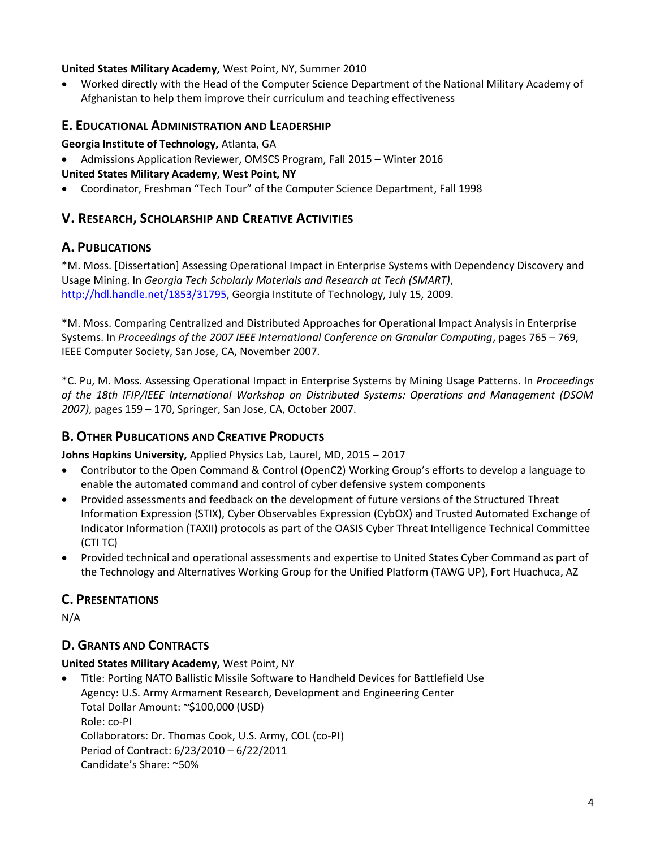#### **United States Military Academy,** West Point, NY, Summer 2010

• Worked directly with the Head of the Computer Science Department of the National Military Academy of Afghanistan to help them improve their curriculum and teaching effectiveness

### **E. EDUCATIONAL ADMINISTRATION AND LEADERSHIP**

#### **Georgia Institute of Technology,** Atlanta, GA

• Admissions Application Reviewer, OMSCS Program, Fall 2015 – Winter 2016

#### **United States Military Academy, West Point, NY**

• Coordinator, Freshman "Tech Tour" of the Computer Science Department, Fall 1998

### **V. RESEARCH, SCHOLARSHIP AND CREATIVE ACTIVITIES**

### **A. PUBLICATIONS**

\*M. Moss. [Dissertation] Assessing Operational Impact in Enterprise Systems with Dependency Discovery and Usage Mining. In *Georgia Tech Scholarly Materials and Research at Tech (SMART)*, [http://hdl.handle.net/1853/31795,](http://hdl.handle.net/1853/31795) Georgia Institute of Technology, July 15, 2009.

\*M. Moss. Comparing Centralized and Distributed Approaches for Operational Impact Analysis in Enterprise Systems. In *Proceedings of the 2007 IEEE International Conference on Granular Computing*, pages 765 – 769, IEEE Computer Society, San Jose, CA, November 2007.

\*C. Pu, M. Moss. Assessing Operational Impact in Enterprise Systems by Mining Usage Patterns. In *Proceedings of the 18th IFIP/IEEE International Workshop on Distributed Systems: Operations and Management (DSOM 2007)*, pages 159 – 170, Springer, San Jose, CA, October 2007.

### **B. OTHER PUBLICATIONS AND CREATIVE PRODUCTS**

**Johns Hopkins University,** Applied Physics Lab, Laurel, MD, 2015 – 2017

- Contributor to the Open Command & Control (OpenC2) Working Group's efforts to develop a language to enable the automated command and control of cyber defensive system components
- Provided assessments and feedback on the development of future versions of the Structured Threat Information Expression (STIX), Cyber Observables Expression (CybOX) and Trusted Automated Exchange of Indicator Information (TAXII) protocols as part of the OASIS Cyber Threat Intelligence Technical Committee (CTI TC)
- Provided technical and operational assessments and expertise to United States Cyber Command as part of the Technology and Alternatives Working Group for the Unified Platform (TAWG UP), Fort Huachuca, AZ

### **C. PRESENTATIONS**

N/A

### **D. GRANTS AND CONTRACTS**

#### **United States Military Academy,** West Point, NY

• Title: Porting NATO Ballistic Missile Software to Handheld Devices for Battlefield Use Agency: U.S. Army Armament Research, Development and Engineering Center Total Dollar Amount: ~\$100,000 (USD) Role: co-PI Collaborators: Dr. Thomas Cook, U.S. Army, COL (co-PI) Period of Contract: 6/23/2010 – 6/22/2011 Candidate's Share: ~50%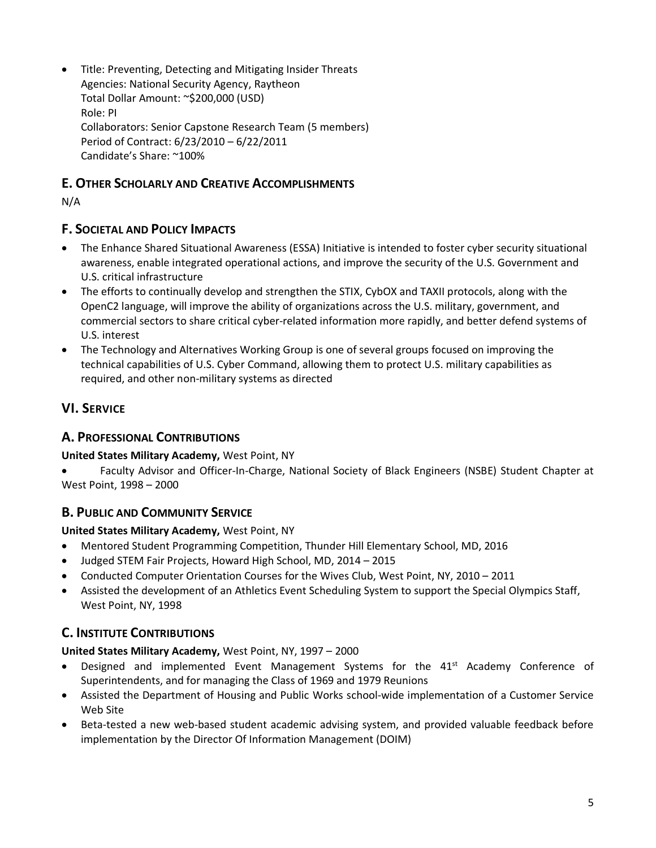• Title: Preventing, Detecting and Mitigating Insider Threats Agencies: National Security Agency, Raytheon Total Dollar Amount: ~\$200,000 (USD) Role: PI Collaborators: Senior Capstone Research Team (5 members) Period of Contract: 6/23/2010 – 6/22/2011 Candidate's Share: ~100%

### **E. OTHER SCHOLARLY AND CREATIVE ACCOMPLISHMENTS**

N/A

### **F. SOCIETAL AND POLICY IMPACTS**

- The Enhance Shared Situational Awareness (ESSA) Initiative is intended to foster cyber security situational awareness, enable integrated operational actions, and improve the security of the U.S. Government and U.S. critical infrastructure
- The efforts to continually develop and strengthen the STIX, CybOX and TAXII protocols, along with the OpenC2 language, will improve the ability of organizations across the U.S. military, government, and commercial sectors to share critical cyber-related information more rapidly, and better defend systems of U.S. interest
- The Technology and Alternatives Working Group is one of several groups focused on improving the technical capabilities of U.S. Cyber Command, allowing them to protect U.S. military capabilities as required, and other non-military systems as directed

# **VI. SERVICE**

## **A. PROFESSIONAL CONTRIBUTIONS**

**United States Military Academy,** West Point, NY

• Faculty Advisor and Officer-In-Charge, National Society of Black Engineers (NSBE) Student Chapter at West Point, 1998 – 2000

### **B. PUBLIC AND COMMUNITY SERVICE**

### **United States Military Academy,** West Point, NY

- Mentored Student Programming Competition, Thunder Hill Elementary School, MD, 2016
- Judged STEM Fair Projects, Howard High School, MD, 2014 2015
- Conducted Computer Orientation Courses for the Wives Club, West Point, NY, 2010 2011
- Assisted the development of an Athletics Event Scheduling System to support the Special Olympics Staff, West Point, NY, 1998

### **C. INSTITUTE CONTRIBUTIONS**

### **United States Military Academy,** West Point, NY, 1997 – 2000

- Designed and implemented Event Management Systems for the 41<sup>st</sup> Academy Conference of Superintendents, and for managing the Class of 1969 and 1979 Reunions
- Assisted the Department of Housing and Public Works school-wide implementation of a Customer Service Web Site
- Beta-tested a new web-based student academic advising system, and provided valuable feedback before implementation by the Director Of Information Management (DOIM)